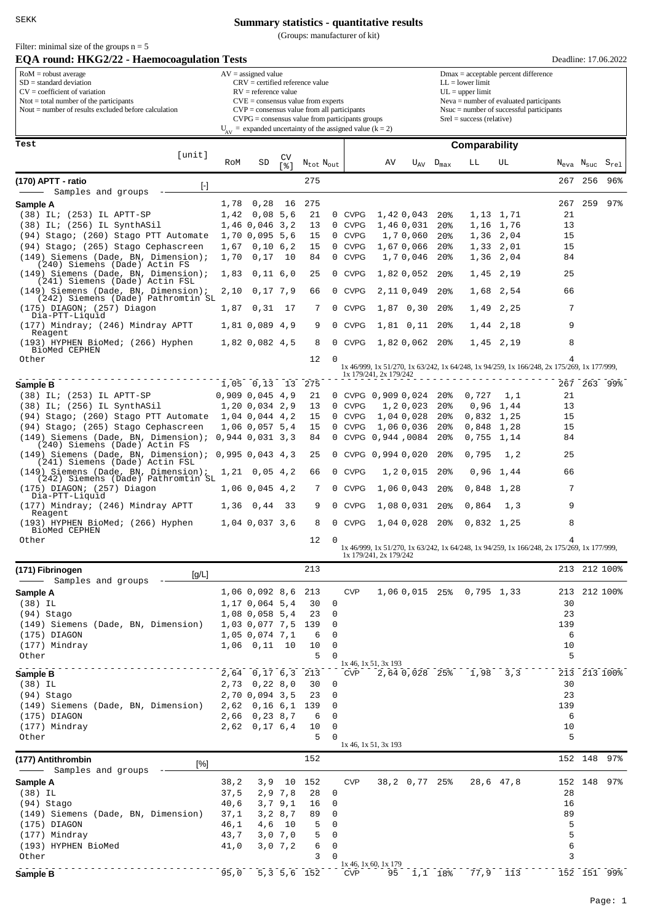Filter: minimal size of the groups  $n = 5$ 

## **Summary statistics - quantitative results**

(Groups: manufacturer of kit)

| <b>EQA round: HKG2/22 - Haemocoagulation Tests</b>                                                                                                                                                                                                                                                                                                                                                                                                                                                                         |                   |                                         |               |                     |                         |                            |                            |                       |                                                                                                                                                                                                         |                           |                            | Deadline: 17.06.2022                                                                            |                  |                             |  |  |  |
|----------------------------------------------------------------------------------------------------------------------------------------------------------------------------------------------------------------------------------------------------------------------------------------------------------------------------------------------------------------------------------------------------------------------------------------------------------------------------------------------------------------------------|-------------------|-----------------------------------------|---------------|---------------------|-------------------------|----------------------------|----------------------------|-----------------------|---------------------------------------------------------------------------------------------------------------------------------------------------------------------------------------------------------|---------------------------|----------------------------|-------------------------------------------------------------------------------------------------|------------------|-----------------------------|--|--|--|
| $RoM =$ robust average<br>$AV = assigned value$<br>$SD = standard deviation$<br>$CRV =$ certified reference value<br>$CV = coefficient of variation$<br>$RV =$ reference value<br>$N$ tot = total number of the participants<br>$CVE = \text{consensus value from experts}$<br>Nout $=$ number of results excluded before calculation<br>$CVP = \text{consensus value from all participants}$<br>$CVPG = \text{consensus value from participants groups}$<br>$U_{AV}$ = expanded uncertainty of the assigned value (k = 2) |                   |                                         |               |                     |                         |                            |                            |                       | Dmax = acceptable percent difference<br>$LL =$ lower limit<br>$UL = upper limit$<br>Neva = number of evaluated participants<br>$Nsu$ = number of successful participants<br>$Srel = success$ (relative) |                           |                            |                                                                                                 |                  |                             |  |  |  |
|                                                                                                                                                                                                                                                                                                                                                                                                                                                                                                                            |                   |                                         |               |                     |                         |                            |                            |                       |                                                                                                                                                                                                         |                           |                            |                                                                                                 |                  |                             |  |  |  |
| Test                                                                                                                                                                                                                                                                                                                                                                                                                                                                                                                       |                   |                                         |               |                     |                         |                            |                            |                       |                                                                                                                                                                                                         | Comparability             |                            |                                                                                                 |                  |                             |  |  |  |
| [unit]                                                                                                                                                                                                                                                                                                                                                                                                                                                                                                                     | RoM               | SD                                      | CV<br>[응]     | $N_{tot}$ $N_{out}$ |                         |                            | ΑV                         | $U_{AV}$              | $D_{\text{max}}$                                                                                                                                                                                        | LL                        | UL                         | $\rm N_{eva}$                                                                                   | N <sub>suc</sub> | $\mathtt{S}_{\mathtt{rel}}$ |  |  |  |
| (170) APTT - ratio                                                                                                                                                                                                                                                                                                                                                                                                                                                                                                         |                   |                                         |               | 275                 |                         |                            |                            |                       |                                                                                                                                                                                                         |                           |                            | 267                                                                                             | 256              | 96%                         |  |  |  |
| $[\cdot]$<br>Samples and groups                                                                                                                                                                                                                                                                                                                                                                                                                                                                                            |                   |                                         |               |                     |                         |                            |                            |                       |                                                                                                                                                                                                         |                           |                            |                                                                                                 |                  |                             |  |  |  |
| Sample A                                                                                                                                                                                                                                                                                                                                                                                                                                                                                                                   | 1,78              | 0,28                                    | 16            | 275                 |                         |                            |                            |                       |                                                                                                                                                                                                         |                           |                            | 267                                                                                             | 259              | 97                          |  |  |  |
| $(38)$ IL; $(253)$ IL APTT-SP                                                                                                                                                                                                                                                                                                                                                                                                                                                                                              | 1,42              | 0,08,5,6                                |               | 21                  |                         | 0 CVPG                     |                            | 1,420,043             | 20 <sub>8</sub>                                                                                                                                                                                         |                           | 1,13 1,71                  | 21                                                                                              |                  |                             |  |  |  |
| (38) IL; (256) IL SynthASil<br>(94) Stago; (260) Stago PTT Automate                                                                                                                                                                                                                                                                                                                                                                                                                                                        |                   | 1,46 0,046 3,2<br>1,70 0,095 5,6        |               | 13<br>15            | 0<br>0                  | <b>CVPG</b><br><b>CVPG</b> |                            | 1,460,031<br>1,70,060 | 20 <sub>8</sub><br>20 <sub>8</sub>                                                                                                                                                                      | 1,36                      | 1,16 1,76<br>2,04          | 13<br>15                                                                                        |                  |                             |  |  |  |
| (94) Stago; (265) Stago Cephascreen                                                                                                                                                                                                                                                                                                                                                                                                                                                                                        | 1,67              | 0,10,6,2                                |               | 15                  |                         | 0 CVPG                     |                            | 1,670,066             | 20 <sub>8</sub>                                                                                                                                                                                         |                           | 1,33 2,01                  | 15                                                                                              |                  |                             |  |  |  |
| $(149)$ Siemens (Dade, BN, Dimension);                                                                                                                                                                                                                                                                                                                                                                                                                                                                                     | 1,70              | 0,17                                    | 10            | 84                  | 0                       | <b>CVPG</b>                |                            | 1,70,046              | 20 <sup>8</sup>                                                                                                                                                                                         |                           | 1,36 2,04                  | 84                                                                                              |                  |                             |  |  |  |
| (240) Siemens (Dade) Actin FS<br>$(149)$ Siemens (Dade, BN, Dimension);                                                                                                                                                                                                                                                                                                                                                                                                                                                    | 1,83              | $0,11$ 6,0                              |               | 25                  | $\mathbf{0}$            | <b>CVPG</b>                |                            | 1,820,052             | 20 <sub>8</sub>                                                                                                                                                                                         |                           | 1,45 2,19                  | 25                                                                                              |                  |                             |  |  |  |
| (241) Siemens (Dade) Actin FSL                                                                                                                                                                                                                                                                                                                                                                                                                                                                                             |                   |                                         |               |                     |                         |                            |                            |                       |                                                                                                                                                                                                         |                           |                            |                                                                                                 |                  |                             |  |  |  |
| $(149)$ Siemens (Dade, BN, Dimension);<br>(242) Siemens (Dade) Pathromtin SL                                                                                                                                                                                                                                                                                                                                                                                                                                               | 2,10              | 0,17,7,9                                |               | 66                  | 0                       | <b>CVPG</b>                |                            | 2,110,049             | 20 <sup>8</sup>                                                                                                                                                                                         |                           | 1,68 2,54                  | 66                                                                                              |                  |                             |  |  |  |
| (175) DIAGON; (257) Diagon<br>Dia-PTT-Liquid                                                                                                                                                                                                                                                                                                                                                                                                                                                                               | 1,87              | 0,31                                    | 17            | 7                   | 0                       | <b>CVPG</b>                |                            | 1,87 0,30             | 20 <sub>8</sub>                                                                                                                                                                                         | 1,49                      | 2,25                       | 7                                                                                               |                  |                             |  |  |  |
| (177) Mindray; (246) Mindray APTT                                                                                                                                                                                                                                                                                                                                                                                                                                                                                          |                   | 1,81 0,089 4,9                          |               | 9                   | 0                       | CVPG                       |                            | 1,81 0,11             | $20\%$                                                                                                                                                                                                  |                           | 1,44 2,18                  | 9                                                                                               |                  |                             |  |  |  |
| Reagent<br>(193) HYPHEN BioMed; (266) Hyphen                                                                                                                                                                                                                                                                                                                                                                                                                                                                               |                   | 1,82 0,082 4,5                          |               | 8                   | 0                       | <b>CVPG</b>                |                            | 1,820,062             | 20%                                                                                                                                                                                                     |                           | $1.45$ $2.19$              | 8                                                                                               |                  |                             |  |  |  |
| BioMed CEPHEN                                                                                                                                                                                                                                                                                                                                                                                                                                                                                                              |                   |                                         |               |                     |                         |                            |                            |                       |                                                                                                                                                                                                         |                           |                            |                                                                                                 |                  |                             |  |  |  |
| Other                                                                                                                                                                                                                                                                                                                                                                                                                                                                                                                      |                   |                                         |               | 12                  | 0                       |                            |                            |                       |                                                                                                                                                                                                         |                           |                            | 4<br>1x 46/999, 1x 51/270, 1x 63/242, 1x 64/248, 1x 94/259, 1x 166/248, 2x 175/269, 1x 177/999, |                  |                             |  |  |  |
|                                                                                                                                                                                                                                                                                                                                                                                                                                                                                                                            |                   | 1,05 0,13 13                            |               | 275                 |                         |                            | 1x 179/241, 2x 179/242     |                       |                                                                                                                                                                                                         |                           |                            |                                                                                                 |                  | 267 263 99%                 |  |  |  |
| Sample B<br>(38) IL; (253) IL APTT-SP                                                                                                                                                                                                                                                                                                                                                                                                                                                                                      |                   | $0,909$ $0,045$ $4,9$                   |               | 21                  |                         |                            | 0 CVPG 0,909 0,024         |                       | 20 <sub>8</sub>                                                                                                                                                                                         | 0,727                     | 1,1                        | 21                                                                                              |                  |                             |  |  |  |
| (38) IL; (256) IL SynthASil                                                                                                                                                                                                                                                                                                                                                                                                                                                                                                |                   | 1,20 0,034 2,9                          |               | 13                  | 0                       | <b>CVPG</b>                |                            | 1,20,023              | 20 <sub>8</sub>                                                                                                                                                                                         |                           | $0,96$ 1,44                | 13                                                                                              |                  |                             |  |  |  |
| (94) Stago; (260) Stago PTT Automate                                                                                                                                                                                                                                                                                                                                                                                                                                                                                       |                   | 1,04 0,044 4,2                          |               | 15                  | 0                       | <b>CVPG</b>                |                            | 1,04 0,028            | 20 <sub>8</sub>                                                                                                                                                                                         |                           | $0,832$ 1,25               | 15                                                                                              |                  |                             |  |  |  |
| (94) Stago; (265) Stago Cephascreen<br>(149) Siemens (Dade, BN, Dimension);                                                                                                                                                                                                                                                                                                                                                                                                                                                |                   | 1,06 0,057 5,4<br>$0,944$ $0,031$ $3,3$ |               | 15<br>84            | 0                       | <b>CVPG</b>                | 0 CVPG 0,944,0084          | 1,060,036             | 20%<br>20 <sup>8</sup>                                                                                                                                                                                  |                           | 0,848 1,28<br>$0,755$ 1,14 | 15<br>84                                                                                        |                  |                             |  |  |  |
| (240) Siemens (Dade) Actin FS                                                                                                                                                                                                                                                                                                                                                                                                                                                                                              |                   |                                         |               |                     |                         |                            |                            |                       |                                                                                                                                                                                                         |                           |                            |                                                                                                 |                  |                             |  |  |  |
| $(149)$ Siemens (Dade, BN, Dimension);<br>(241) Siemens (Dade) Actin FSL                                                                                                                                                                                                                                                                                                                                                                                                                                                   |                   | 0,995,0,043,4,3                         |               | 25                  | $\mathbf{0}$            |                            | CVPG 0,994 0,020           |                       | 20 <sup>8</sup>                                                                                                                                                                                         | 0,795                     | 1,2                        | 25                                                                                              |                  |                             |  |  |  |
| $(149)$ Siemens (Dade, BN, Dimension);                                                                                                                                                                                                                                                                                                                                                                                                                                                                                     |                   | $1,21$ 0,05 4,2                         |               | 66                  | 0                       | <b>CVPG</b>                |                            | 1,20,015              | 20%                                                                                                                                                                                                     |                           | $0,96$ 1,44                | 66                                                                                              |                  |                             |  |  |  |
| (242) Siemens (Dade) Pathromtin SL<br>(175) DIAGON; (257) Diagon                                                                                                                                                                                                                                                                                                                                                                                                                                                           |                   | 1,06 0,045 4,2                          |               | 7                   | 0                       | <b>CVPG</b>                |                            | 1,060,043             | 20 <sup>8</sup>                                                                                                                                                                                         |                           | 0,848 1,28                 | 7                                                                                               |                  |                             |  |  |  |
| Dia-PTT-Liquid                                                                                                                                                                                                                                                                                                                                                                                                                                                                                                             |                   |                                         |               |                     |                         |                            |                            |                       |                                                                                                                                                                                                         |                           |                            | 9                                                                                               |                  |                             |  |  |  |
| (177) Mindray; (246) Mindray APTT<br>Reagent                                                                                                                                                                                                                                                                                                                                                                                                                                                                               |                   | 1,36 0,44                               | 33            | 9                   | 0                       | <b>CVPG</b>                |                            | 1,08 0,031            | 20 <sub>8</sub>                                                                                                                                                                                         | 0,864                     | 1,3                        |                                                                                                 |                  |                             |  |  |  |
| (193) HYPHEN BioMed; (266) Hyphen<br>BioMed CEPHEN                                                                                                                                                                                                                                                                                                                                                                                                                                                                         |                   | 1,04 0,037 3,6                          |               | 8                   |                         | 0 CVPG                     |                            | 1,04 0,028            | $20\%$                                                                                                                                                                                                  |                           | $0,832$ 1,25               | 8                                                                                               |                  |                             |  |  |  |
| Other                                                                                                                                                                                                                                                                                                                                                                                                                                                                                                                      |                   |                                         |               | 12                  | 0                       |                            |                            |                       |                                                                                                                                                                                                         |                           |                            | 4                                                                                               |                  |                             |  |  |  |
|                                                                                                                                                                                                                                                                                                                                                                                                                                                                                                                            |                   |                                         |               |                     |                         |                            | 1x 179/241, 2x 179/242     |                       |                                                                                                                                                                                                         |                           |                            | 1x 46/999, 1x 51/270, 1x 63/242, 1x 64/248, 1x 94/259, 1x 166/248, 2x 175/269, 1x 177/999,      |                  |                             |  |  |  |
| (171) Fibrinogen<br>[g/L]                                                                                                                                                                                                                                                                                                                                                                                                                                                                                                  |                   |                                         |               | 213                 |                         |                            |                            |                       |                                                                                                                                                                                                         |                           |                            |                                                                                                 |                  | 213 212 100%                |  |  |  |
| Samples and groups                                                                                                                                                                                                                                                                                                                                                                                                                                                                                                         |                   |                                         |               |                     |                         |                            |                            |                       |                                                                                                                                                                                                         |                           |                            |                                                                                                 |                  |                             |  |  |  |
| Sample A                                                                                                                                                                                                                                                                                                                                                                                                                                                                                                                   |                   | 1,06 0,092 8,6 213                      |               |                     |                         | <b>CVP</b>                 |                            |                       |                                                                                                                                                                                                         | 1,06 0,015 25% 0,795 1,33 |                            |                                                                                                 |                  | 213 212 100%                |  |  |  |
| $(38)$ IL<br>(94) Stago                                                                                                                                                                                                                                                                                                                                                                                                                                                                                                    |                   | 1,17 0,064 5,4<br>1,08 0,058 5,4        |               | 30<br>23            | 0<br>0                  |                            |                            |                       |                                                                                                                                                                                                         |                           |                            | 30<br>23                                                                                        |                  |                             |  |  |  |
| (149) Siemens (Dade, BN, Dimension)                                                                                                                                                                                                                                                                                                                                                                                                                                                                                        |                   | 1,03 0,077 7,5                          |               | 139                 | 0                       |                            |                            |                       |                                                                                                                                                                                                         |                           |                            | 139                                                                                             |                  |                             |  |  |  |
| (175) DIAGON                                                                                                                                                                                                                                                                                                                                                                                                                                                                                                               |                   | 1,05 0,074 7,1                          |               | 6                   | 0                       |                            |                            |                       |                                                                                                                                                                                                         |                           |                            | 6                                                                                               |                  |                             |  |  |  |
| (177) Mindray<br>Other                                                                                                                                                                                                                                                                                                                                                                                                                                                                                                     |                   | $1,06$ 0,11                             | 10            | 10<br>5             | $\mathbf 0$<br>$\Omega$ |                            |                            |                       |                                                                                                                                                                                                         |                           |                            | 10<br>5                                                                                         |                  |                             |  |  |  |
|                                                                                                                                                                                                                                                                                                                                                                                                                                                                                                                            |                   |                                         |               |                     |                         |                            | $1x$ 46, $1x$ 51, $3x$ 193 |                       |                                                                                                                                                                                                         |                           |                            |                                                                                                 |                  |                             |  |  |  |
| Sample B                                                                                                                                                                                                                                                                                                                                                                                                                                                                                                                   |                   | 2,64 0,17 6,3                           |               | 213                 |                         | <b>CVP</b>                 |                            |                       | 2,64 0,028 25%                                                                                                                                                                                          |                           | $1,98$ $3,3$               |                                                                                                 |                  | 213 213 100%                |  |  |  |
| $(38)$ IL<br>(94) Stago                                                                                                                                                                                                                                                                                                                                                                                                                                                                                                    |                   | 2,73 0,22 8,0<br>2,70 0,094 3,5         |               | 30<br>23            | 0<br>0                  |                            |                            |                       |                                                                                                                                                                                                         |                           |                            | 30<br>23                                                                                        |                  |                             |  |  |  |
| (149) Siemens (Dade, BN, Dimension)                                                                                                                                                                                                                                                                                                                                                                                                                                                                                        | 2,62              | 0,16,6,1                                |               | 139                 | 0                       |                            |                            |                       |                                                                                                                                                                                                         |                           |                            | 139                                                                                             |                  |                             |  |  |  |
| (175) DIAGON                                                                                                                                                                                                                                                                                                                                                                                                                                                                                                               |                   | 2,66 0,23 8,7                           |               | 6                   | 0                       |                            |                            |                       |                                                                                                                                                                                                         |                           |                            | 6                                                                                               |                  |                             |  |  |  |
| (177) Mindray<br>Other                                                                                                                                                                                                                                                                                                                                                                                                                                                                                                     |                   | $2,62$ 0, 17 6, 4                       |               | 10<br>5             | $\mathbf 0$<br>$\Omega$ |                            |                            |                       |                                                                                                                                                                                                         |                           |                            | 10<br>5                                                                                         |                  |                             |  |  |  |
|                                                                                                                                                                                                                                                                                                                                                                                                                                                                                                                            |                   |                                         |               |                     |                         |                            | $1x$ 46, $1x$ 51, $3x$ 193 |                       |                                                                                                                                                                                                         |                           |                            |                                                                                                 |                  |                             |  |  |  |
| (177) Antithrombin<br>[%]                                                                                                                                                                                                                                                                                                                                                                                                                                                                                                  |                   |                                         |               | 152                 |                         |                            |                            |                       |                                                                                                                                                                                                         |                           |                            |                                                                                                 | 152 148          | $97\%$                      |  |  |  |
| Samples and groups                                                                                                                                                                                                                                                                                                                                                                                                                                                                                                         |                   |                                         |               |                     |                         | <b>CVP</b>                 |                            |                       |                                                                                                                                                                                                         |                           |                            |                                                                                                 |                  | 97%                         |  |  |  |
| Sample A<br>$(38)$ IL                                                                                                                                                                                                                                                                                                                                                                                                                                                                                                      | $38\,, 2$<br>37,5 | 3,9                                     | 10<br>2,9,7,8 | 152<br>28           | 0                       |                            |                            |                       | 38,2 0,77 25%                                                                                                                                                                                           |                           | 28,6 47,8                  | 28                                                                                              | 152 148          |                             |  |  |  |
| (94) Stago                                                                                                                                                                                                                                                                                                                                                                                                                                                                                                                 | 40,6              |                                         | 3,7,9,1       | 16                  | 0                       |                            |                            |                       |                                                                                                                                                                                                         |                           |                            | 16                                                                                              |                  |                             |  |  |  |
| (149) Siemens (Dade, BN, Dimension)                                                                                                                                                                                                                                                                                                                                                                                                                                                                                        | 37,1              |                                         | 3, 2, 8, 7    | 89                  | 0                       |                            |                            |                       |                                                                                                                                                                                                         |                           |                            | 89                                                                                              |                  |                             |  |  |  |
| (175) DIAGON<br>(177) Mindray                                                                                                                                                                                                                                                                                                                                                                                                                                                                                              | 46,1<br>43,7      | 4,6                                     | 10<br>3,0,7,0 | 5<br>5              | 0<br>$\mathbf 0$        |                            |                            |                       |                                                                                                                                                                                                         |                           |                            | 5<br>5                                                                                          |                  |                             |  |  |  |
| (193) HYPHEN BioMed                                                                                                                                                                                                                                                                                                                                                                                                                                                                                                        | 41,0              |                                         | 3,0,7,2       | 6                   | 0                       |                            |                            |                       |                                                                                                                                                                                                         |                           |                            | 6                                                                                               |                  |                             |  |  |  |
| Other                                                                                                                                                                                                                                                                                                                                                                                                                                                                                                                      |                   |                                         |               | 3                   | $\Omega$                |                            | 1x 46, 1x 60, 1x 179       |                       |                                                                                                                                                                                                         |                           |                            | 3                                                                                               |                  |                             |  |  |  |
| Sample B                                                                                                                                                                                                                                                                                                                                                                                                                                                                                                                   | 95,0              |                                         |               | 5, 3, 5, 6, 152     |                         | <b>CVP</b>                 | 95                         |                       | $1,1$ 18%                                                                                                                                                                                               |                           | 77,9 113                   |                                                                                                 |                  | 152 151 99%                 |  |  |  |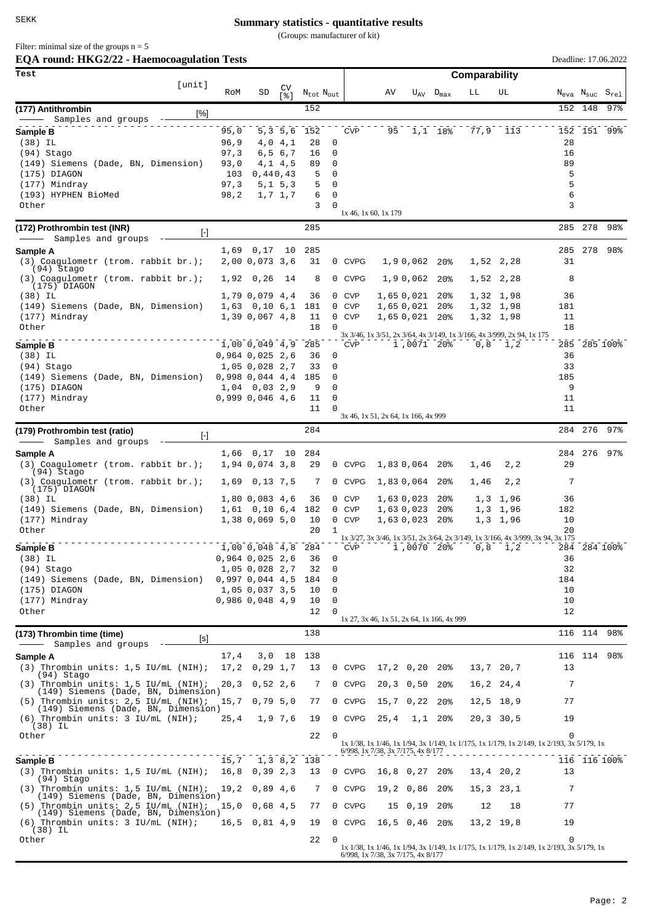## **Summary statistics - quantitative results**

(Groups: manufacturer of kit)

Filter: minimal size of the groups  $n = 5$ 

| EQA round: HKG2/22 - Haemocoagulation Tests                                    |              |                                     |                         |                                   |                   |                          |                                            |                             |                                  |      |                                                                                           |           |                                     | Deadline: 17.06.2022 |  |
|--------------------------------------------------------------------------------|--------------|-------------------------------------|-------------------------|-----------------------------------|-------------------|--------------------------|--------------------------------------------|-----------------------------|----------------------------------|------|-------------------------------------------------------------------------------------------|-----------|-------------------------------------|----------------------|--|
| Test                                                                           |              |                                     |                         |                                   |                   | Comparability            |                                            |                             |                                  |      |                                                                                           |           |                                     |                      |  |
| [unit]                                                                         | RoM          | SD                                  | CV<br>$\lceil 8 \rceil$ | $N_{\text{tot}}$ $N_{\text{out}}$ |                   |                          | AV                                         |                             | $U_{\text{AV}}$ $D_{\text{max}}$ | LL   | UL                                                                                        |           | $\rm N_{\rm eva}$ $\rm N_{\rm suc}$ | $S_{rel}$            |  |
| (177) Antithrombin<br>$[\%]$                                                   |              |                                     |                         | 152                               |                   |                          |                                            |                             |                                  |      |                                                                                           |           | 152 148                             | $97$ %               |  |
| Samples and groups                                                             |              |                                     |                         |                                   |                   |                          |                                            |                             |                                  |      |                                                                                           |           |                                     |                      |  |
| Sample B<br>$(38)$ IL                                                          | 95,0<br>96,9 |                                     | 5, 3, 5, 6<br>4,0 4,1   | 152<br>28                         | 0                 | <b>CVP</b>               |                                            | 95 1,1 18%                  |                                  |      | 77,9 113                                                                                  | 28        |                                     | 152 151 99%          |  |
| (94) Stago                                                                     | 97,3         |                                     | 6,5 6,7                 | 16                                | 0                 |                          |                                            |                             |                                  |      |                                                                                           | 16        |                                     |                      |  |
| (149) Siemens (Dade, BN, Dimension)                                            | 93,0         |                                     | $4, 1$ $4, 5$           | 89                                | 0                 |                          |                                            |                             |                                  |      |                                                                                           | 89        |                                     |                      |  |
| $(175)$ DIAGON<br>(177) Mindray                                                | 103          | 0,440,43                            |                         | 5                                 | 0<br>0            |                          |                                            |                             |                                  |      |                                                                                           | 5<br>5    |                                     |                      |  |
| (193) HYPHEN BioMed                                                            | 97,3<br>98,2 |                                     | 5, 1, 5, 3<br>1,7 1,7   | 5<br>6                            | 0                 |                          |                                            |                             |                                  |      |                                                                                           | 6         |                                     |                      |  |
| Other                                                                          |              |                                     |                         | 3                                 | 0                 |                          |                                            |                             |                                  |      |                                                                                           | 3         |                                     |                      |  |
|                                                                                |              |                                     |                         | 285                               |                   |                          | 1x 46, 1x 60, 1x 179                       |                             |                                  |      |                                                                                           |           | 285 278                             | 98%                  |  |
| (172) Prothrombin test (INR)<br>$[\cdot]$<br>Samples and groups                |              |                                     |                         |                                   |                   |                          |                                            |                             |                                  |      |                                                                                           |           |                                     |                      |  |
| Sample A                                                                       | 1,69         | 0,17                                | 10                      | 285                               |                   |                          |                                            |                             |                                  |      |                                                                                           | 285       | 278                                 | 98%                  |  |
| $(3)$ Coagulometr (trom. rabbit br.);<br>(94) Stago                            |              | 2,00 0,073 3,6                      |                         | 31                                |                   | 0 CVPG                   |                                            | 1,90,062                    | 20%                              |      | 1,52 2,28                                                                                 | 31        |                                     |                      |  |
| $(3)$ Coagulometr (trom. rabbit br.);<br>$(175)$ DIAGON                        | 1,92         | 0,26                                | 14                      | 8                                 |                   | 0 CVPG                   |                                            | 1,90,062                    | 20 <sub>8</sub>                  |      | 1,52 2,28                                                                                 | 8         |                                     |                      |  |
| $(38)$ IL                                                                      |              | 1,79 0,079 4,4                      |                         | 36                                | $\mathbf{0}$      | <b>CVP</b>               |                                            | 1,650,021                   | 20 <sub>8</sub>                  |      | 1,32 1,98                                                                                 | 36        |                                     |                      |  |
| (149) Siemens (Dade, BN, Dimension)                                            |              | $1,63$ 0,10 6,1                     |                         | 181                               | $\mathbf{0}$      | <b>CVP</b>               |                                            | 1,65 0,021                  | 20%                              |      | 1,32 1,98                                                                                 | 181       |                                     |                      |  |
| (177) Mindray<br>Other                                                         |              | 1,39 0,067 4,8                      |                         | 11<br>18                          | $\mathbf{0}$<br>0 | <b>CVP</b>               |                                            | 1,65 0,021 20%              |                                  |      | 1,32 1,98                                                                                 | 11<br>18  |                                     |                      |  |
|                                                                                |              |                                     |                         |                                   |                   |                          |                                            |                             |                                  |      | 3x 3/46, 1x 3/51, 2x 3/64, 4x 3/149, 1x 3/166, 4x 3/999, 2x 94, 1x 175                    |           |                                     |                      |  |
| Sample B                                                                       |              | $1,00$ 0,049 4,9                    |                         | 285                               |                   | <b>CVP</b>               |                                            | 1,0071 20%                  |                                  | 0,8  | 1,2                                                                                       |           |                                     | 285 285 100%         |  |
| $(38)$ IL<br>(94) Stago                                                        |              | $0,964$ 0,025 2,6<br>1,05 0,028 2,7 |                         | 36<br>33                          | 0<br>0            |                          |                                            |                             |                                  |      |                                                                                           | 36<br>33  |                                     |                      |  |
| (149) Siemens (Dade, BN, Dimension)                                            |              | $0,998$ 0,044 4,4                   |                         | 185                               | 0                 |                          |                                            |                             |                                  |      |                                                                                           | 185       |                                     |                      |  |
| $(175)$ DIAGON                                                                 |              | $1,04$ 0,03 2,9                     |                         | 9                                 | 0                 |                          |                                            |                             |                                  |      |                                                                                           | 9         |                                     |                      |  |
| (177) Mindray                                                                  |              | $0,999$ $0,046$ $4,6$               |                         | 11                                | 0                 |                          |                                            |                             |                                  |      |                                                                                           | 11        |                                     |                      |  |
| Other                                                                          |              |                                     |                         | 11                                | $\Omega$          |                          | 3x 46, 1x 51, 2x 64, 1x 166, 4x 999        |                             |                                  |      |                                                                                           | 11        |                                     |                      |  |
| (179) Prothrombin test (ratio)<br>H                                            |              |                                     |                         | 284                               |                   |                          |                                            |                             |                                  |      |                                                                                           | 284       | 276                                 | $97$ %               |  |
| Samples and groups<br>Sample A                                                 | 1,66         | 0,17                                | 10                      | 284                               |                   |                          |                                            |                             |                                  |      |                                                                                           |           | 284 276                             | 97%                  |  |
| $(3)$ Coagulometr (trom. rabbit br.);                                          |              | 1,94 0,074 3,8                      |                         | 29                                |                   | 0 CVPG                   |                                            | 1,830,064                   | 20%                              | 1,46 | 2, 2                                                                                      | 29        |                                     |                      |  |
| (94) Stago<br>$(3)$ Coagulometr (trom. rabbit br.);                            |              |                                     |                         | 7                                 |                   | 0 CVPG                   |                                            | 1,830,064                   | 20 <sub>8</sub>                  |      | 2, 2                                                                                      | 7         |                                     |                      |  |
| (175) DIAGON                                                                   | 1,69         | 0,13,7,5                            |                         |                                   |                   |                          |                                            |                             |                                  | 1,46 |                                                                                           |           |                                     |                      |  |
| $(38)$ IL                                                                      |              | 1,80 0,083 4,6                      |                         | 36                                | $\mathbf{0}$      | <b>CVP</b>               |                                            | 1,630,023                   | 20 <sub>8</sub>                  |      | $1,3 \quad 1,96$                                                                          | 36        |                                     |                      |  |
| (149) Siemens (Dade, BN, Dimension)<br>(177) Mindray                           |              | $1,61$ 0,10 6,4<br>1,38 0,069 5,0   |                         | 182<br>10                         | $\mathbf{0}$<br>0 | <b>CVP</b><br><b>CVP</b> |                                            | 1,630,023<br>1,63 0,023 20% | 20%                              |      | $1,3 \quad 1,96$<br>$1,3 \quad 1,96$                                                      | 182<br>10 |                                     |                      |  |
| Other                                                                          |              |                                     |                         | 20                                | 1                 |                          |                                            |                             |                                  |      |                                                                                           | 20        |                                     |                      |  |
| Sample B                                                                       |              | $1,00$ 0,048 4,8                    |                         | 284                               |                   | CVP                      |                                            | 1,0070 20%                  |                                  | 0, 8 | 1x 3/27, 3x 3/46, 1x 3/51, 2x 3/64, 2x 3/149, 1x 3/166, 4x 3/999, 3x 94, 3x 175<br>1,2    |           |                                     | 284 284 100%         |  |
| $(38)$ IL                                                                      |              | 0,964 0,025 2,6                     |                         | 36                                | 0                 |                          |                                            |                             |                                  |      |                                                                                           | 36        |                                     |                      |  |
| (94) Stago                                                                     |              | 1,05 0,028 2,7                      |                         | 32                                | 0                 |                          |                                            |                             |                                  |      |                                                                                           | 32        |                                     |                      |  |
| (149) Siemens (Dade, BN, Dimension)                                            |              | 0,997,0,044,4,5                     |                         | 184                               | 0                 |                          |                                            |                             |                                  |      |                                                                                           | 184       |                                     |                      |  |
| (175) DIAGON                                                                   |              | 1,05 0,037 3,5                      |                         | 10                                | 0<br>0            |                          |                                            |                             |                                  |      |                                                                                           | 10<br>10  |                                     |                      |  |
| (177) Mindray<br>Other                                                         |              | $0,986$ $0,048$ $4,9$               |                         | 10<br>12                          | 0                 |                          |                                            |                             |                                  |      |                                                                                           | 12        |                                     |                      |  |
|                                                                                |              |                                     |                         |                                   |                   |                          | 1x 27, 3x 46, 1x 51, 2x 64, 1x 166, 4x 999 |                             |                                  |      |                                                                                           |           |                                     |                      |  |
| (173) Thrombin time (time)<br>[S]<br>Samples and groups                        |              |                                     |                         | 138                               |                   |                          |                                            |                             |                                  |      |                                                                                           |           |                                     | 116 114 98%          |  |
| Sample A                                                                       | 17,4         |                                     | 3,0 18                  | 138                               |                   |                          |                                            |                             |                                  |      |                                                                                           |           |                                     | 116 114 98%          |  |
| $(3)$ Thrombin units: 1,5 IU/mL (NIH);                                         | 17,2         | 0, 29, 1, 7                         |                         | 13                                |                   | 0 CVPG                   |                                            | $17,2$ 0,20                 | 20%                              |      | 13,7 20,7                                                                                 | 13        |                                     |                      |  |
| (94) Stago<br>$(3)$ Thrombin units: 1,5 IU/mL (NIH);                           |              | 20,3 0,52 2,6                       |                         | 7                                 |                   | 0 CVPG                   |                                            | 20,3 0,50                   | 20%                              |      | 16,2 24,4                                                                                 | 7         |                                     |                      |  |
| (149) Siemens (Dade, BN, Dimension)<br>$(5)$ Thrombin units: 2,5 IU/mL (NIH);  |              | $15,7$ 0,79 5,0                     |                         | 77                                |                   | 0 CVPG                   |                                            | $15,7$ 0,22                 | 20%                              |      | 12,5 18,9                                                                                 | 77        |                                     |                      |  |
| (149) Siemens (Dade, BN, Dimension)                                            |              |                                     |                         |                                   |                   |                          |                                            |                             |                                  |      |                                                                                           |           |                                     |                      |  |
| $(6)$ Thrombin units: 3 IU/mL $(NIH)$ ;<br>(38) IL                             | 25,4         |                                     | 1,9 7,6                 | 19                                |                   | 0 CVPG                   | 25,4                                       |                             | 1,1 20%                          |      | 20,3 30,5                                                                                 | 19        |                                     |                      |  |
| Other                                                                          |              |                                     |                         | 22                                | 0                 |                          |                                            |                             |                                  |      | 1x 1/38, 1x 1/46, 1x 1/94, 3x 1/149, 1x 1/175, 1x 1/179, 1x 2/149, 1x 2/193, 3x 5/179, 1x | $\Omega$  |                                     |                      |  |
|                                                                                |              |                                     |                         |                                   |                   |                          | 6/998, 1x 7/38, 3x 7/175, 4x 8/177         |                             |                                  |      |                                                                                           |           |                                     |                      |  |
| Sample B                                                                       | 16,8         | 15,7 1,3 8,2 138                    |                         | 13                                |                   | 0 CVPG                   |                                            |                             |                                  |      |                                                                                           | 13        |                                     | 116 116 100%         |  |
| $(3)$ Thrombin units: 1,5 IU/mL $(NIH)$ ;<br>(94) Stago                        |              | 0, 39, 2, 3                         |                         |                                   |                   |                          |                                            | 16,8 0,27 20%               |                                  |      | 13,4 20,2                                                                                 |           |                                     |                      |  |
| $(3)$ Thrombin units: 1,5 IU/mL (NIH);<br>(149) Siemens (Dade, BN, Dimension)  | 19,2         | 0,89,4,6                            |                         | 7                                 |                   | 0 CVPG                   |                                            | 19,2 0,86                   | 20%                              |      | 15,3 23,1                                                                                 | 7         |                                     |                      |  |
| $(5)$ Thrombin units: 2,5 IU/mL (NIH);                                         | 15,0         | $0,68$ 4,5                          |                         | 77                                |                   | 0 CVPG                   |                                            | 15 0,19                     | 20%                              | 12   | 18                                                                                        | 77        |                                     |                      |  |
| (149) Siemens (Dade, BN, Dimension)<br>$(6)$ Thrombin units: 3 IU/mL $(NIH)$ ; |              | 16,5 0,81 4,9                       |                         | 19                                |                   | 0 CVPG                   |                                            | $16,5$ 0,46 20%             |                                  |      | $13, 2$ 19,8                                                                              | 19        |                                     |                      |  |
| $(38)$ IL                                                                      |              |                                     |                         |                                   |                   |                          |                                            |                             |                                  |      |                                                                                           |           |                                     |                      |  |
| Other                                                                          |              |                                     |                         | 22                                | 0                 |                          | 6/998, 1x 7/38, 3x 7/175, 4x 8/177         |                             |                                  |      | 1x 1/38, 1x 1/46, 1x 1/94, 3x 1/149, 1x 1/175, 1x 1/179, 1x 2/149, 1x 2/193, 3x 5/179, 1x | $\Omega$  |                                     |                      |  |